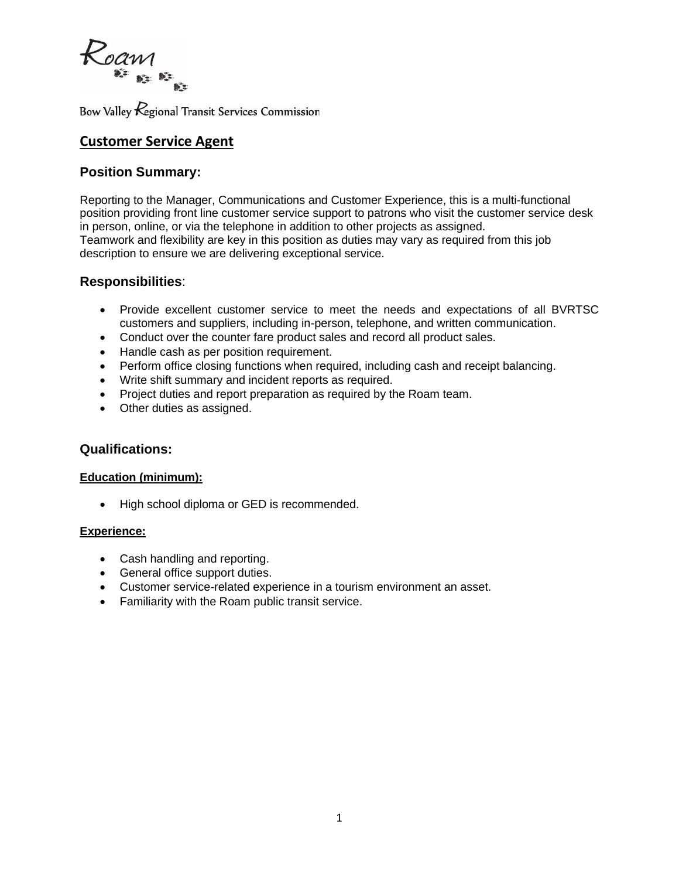

Bow Valley *Regional* Transit Services Commission

# **Customer Service Agent**

# **Position Summary:**

Reporting to the Manager, Communications and Customer Experience, this is a multi-functional position providing front line customer service support to patrons who visit the customer service desk in person, online, or via the telephone in addition to other projects as assigned. Teamwork and flexibility are key in this position as duties may vary as required from this job description to ensure we are delivering exceptional service.

# **Responsibilities**:

- Provide excellent customer service to meet the needs and expectations of all BVRTSC customers and suppliers, including in-person, telephone, and written communication.
- Conduct over the counter fare product sales and record all product sales.
- Handle cash as per position requirement.
- Perform office closing functions when required, including cash and receipt balancing.
- Write shift summary and incident reports as required.
- Project duties and report preparation as required by the Roam team.
- Other duties as assigned.

## **Qualifications:**

#### **Education (minimum):**

• High school diploma or GED is recommended.

#### **Experience:**

- Cash handling and reporting.
- General office support duties.
- Customer service-related experience in a tourism environment an asset.
- Familiarity with the Roam public transit service.